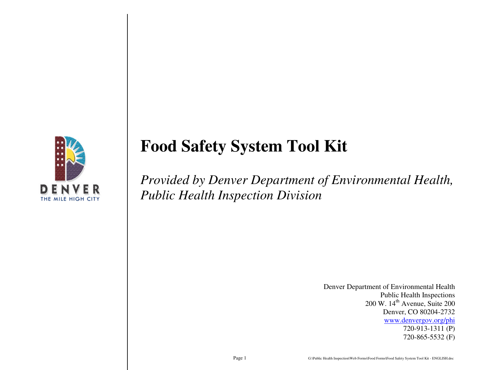

# **Food Safety System Tool Kit**

*Provided by Denver Department of Environmental Health, Public Health Inspection Division* 

> Denver Department of Environmental Health Public Health Inspections  $200$  W.  $14<sup>th</sup>$  Avenue, Suite  $200$  Denver, CO 80204-2732 www.denvergov.org/phi 720-913-1311 (P) 720-865-5532 (F)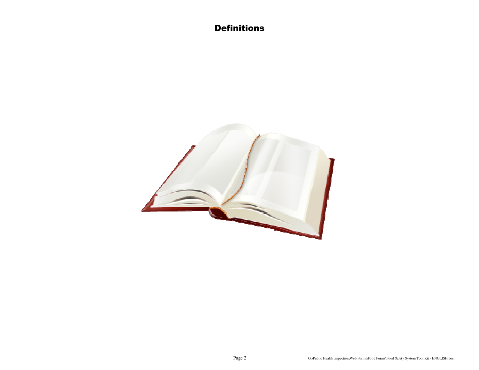**Definitions** 

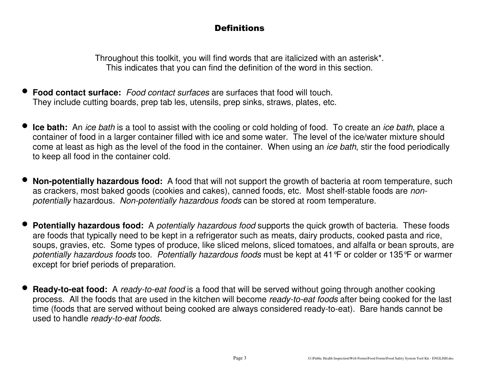# **Definitions**

Throughout this toolkit, you will find words that are italicized with an asterisk\*. This indicates that you can find the definition of the word in this section.

- • **Food contact surface:** Food contact surfaces are surfaces that food will touch. They include cutting boards, prep tab les, utensils, prep sinks, straws, plates, etc.
- •**Ice bath:** An *ice bath* is a tool to assist with the cooling or cold holding of food. To create an *ice bath*, place a container of food in a larger container filled with ice and some water. The level of the ice/water mixture should come at least as high as the level of the food in the container. When using an *ice bath*, stir the food periodically to keep all food in the container cold.
- • **Non-potentially hazardous food:** A food that will not support the growth of bacteria at room temperature, such as crackers, most baked goods (cookies and cakes), canned foods, etc. Most shelf-stable foods are nonpotentially hazardous. Non-potentially hazardous foods can be stored at room temperature.
- • **Potentially hazardous food:** A potentially hazardous food supports the quick growth of bacteria. These foods are foods that typically need to be kept in a refrigerator such as meats, dairy products, cooked pasta and rice, soups, gravies, etc. Some types of produce, like sliced melons, sliced tomatoes, and alfalfa or bean sprouts, are potentially hazardous foods too. Potentially hazardous foods must be kept at 41°F or colder or 135°F or warmer except for brief periods of preparation.
- • **Ready-to-eat food:** A ready-to-eat food is a food that will be served without going through another cooking process. All the foods that are used in the kitchen will become ready-to-eat foods after being cooked for the last time (foods that are served without being cooked are always considered ready-to-eat). Bare hands cannot be used to handle ready-to-eat foods.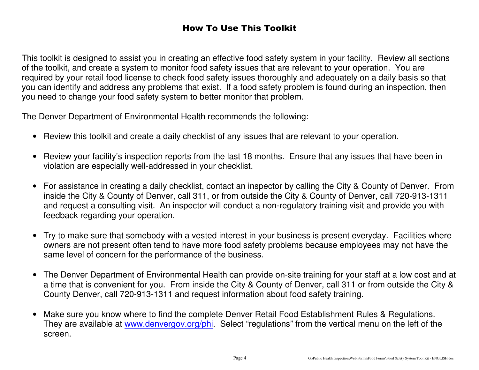# How To Use This Toolkit

This toolkit is designed to assist you in creating an effective food safety system in your facility. Review all sections of the toolkit, and create a system to monitor food safety issues that are relevant to your operation. You are required by your retail food license to check food safety issues thoroughly and adequately on a daily basis so that you can identify and address any problems that exist. If a food safety problem is found during an inspection, then you need to change your food safety system to better monitor that problem.

The Denver Department of Environmental Health recommends the following:

- Review this toolkit and create a daily checklist of any issues that are relevant to your operation.
- Review your facility's inspection reports from the last 18 months. Ensure that any issues that have been in violation are especially well-addressed in your checklist.
- For assistance in creating a daily checklist, contact an inspector by calling the City & County of Denver. From inside the City & County of Denver, call 311, or from outside the City & County of Denver, call 720-913-1311 and request a consulting visit. An inspector will conduct a non-regulatory training visit and provide you with feedback regarding your operation.
- Try to make sure that somebody with a vested interest in your business is present everyday. Facilities where owners are not present often tend to have more food safety problems because employees may not have thesame level of concern for the performance of the business.
- The Denver Department of Environmental Health can provide on-site training for your staff at a low cost and at a time that is convenient for you. From inside the City & County of Denver, call 311 or from outside the City & County Denver, call 720-913-1311 and request information about food safety training.
- Make sure you know where to find the complete Denver Retail Food Establishment Rules & Regulations. They are available at www.denvergov.org/phi. Select "regulations" from the vertical menu on the left of the screen.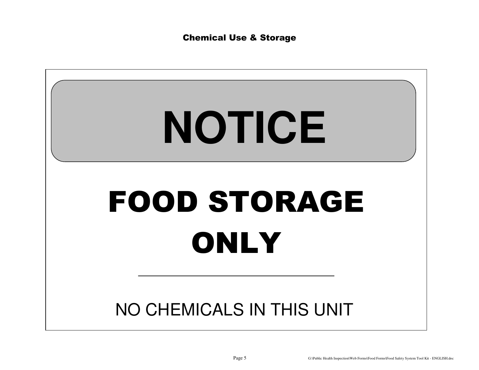Chemical Use & Storage

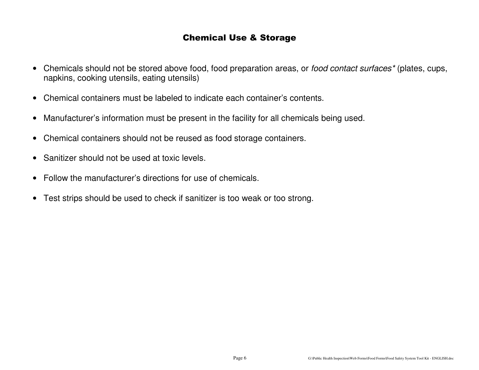### Chemical Use & Storage

- Chemicals should not be stored above food, food preparation areas, or food contact surfaces\* (plates, cups, napkins, cooking utensils, eating utensils)
- Chemical containers must be labeled to indicate each container's contents.
- Manufacturer's information must be present in the facility for all chemicals being used.
- Chemical containers should not be reused as food storage containers.
- Sanitizer should not be used at toxic levels.
- Follow the manufacturer's directions for use of chemicals.
- Test strips should be used to check if sanitizer is too weak or too strong.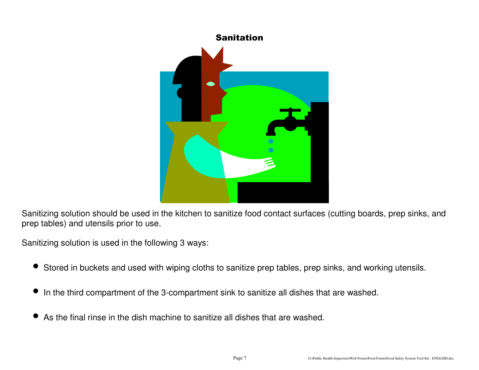

Sanitizing solution should be used in the kitchen to sanitize food contact surfaces (cutting boards, prep sinks, and prep tables) and utensils prior to use.

Sanitizing solution is used in the following 3 ways:

- Stored in buckets and used with wiping cloths to sanitize prep tables, prep sinks, and working utensils.
- $\bullet$ In the third compartment of the 3-compartment sink to sanitize all dishes that are washed.
- •As the final rinse in the dish machine to sanitize all dishes that are washed.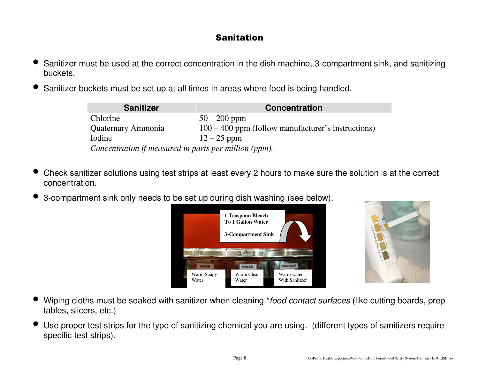# Sanitation

- • Sanitizer must be used at the correct concentration in the dish machine, 3-compartment sink, and sanitizing buckets.
- •Sanitizer buckets must be set up at all times in areas where food is being handled.

| <b>Sanitizer</b>   | <b>Concentration</b>                                 |
|--------------------|------------------------------------------------------|
| Chlorine           | $50 - 200$ ppm                                       |
| Quaternary Ammonia | $100 - 400$ ppm (follow manufacturer's instructions) |
| Iodine             | $12 - 25$ ppm                                        |

*Concentration if measured in parts per million (ppm).* 

- • Check sanitizer solutions using test strips at least every 2 hours to make sure the solution is at the correct concentration.
- •3-compartment sink only needs to be set up during dish washing (see below).





- •Wiping cloths must be soaked with sanitizer when cleaning \*food contact surfaces (like cutting boards, prep tables, slicers, etc.)
- $\bullet$  Use proper test strips for the type of sanitizing chemical you are using. (different types of sanitizers require specific test strips).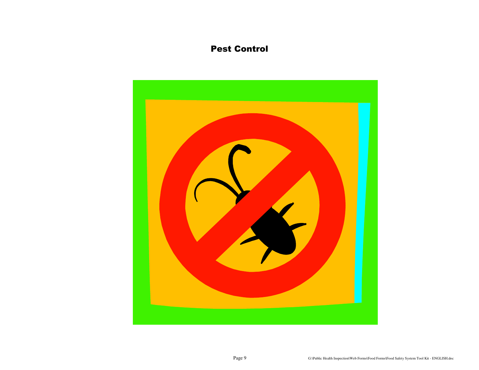### Pest Control

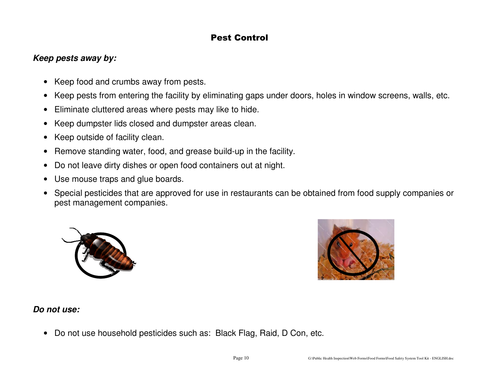### Pest Control

### **Keep pests away by:**

- Keep food and crumbs away from pests.
- Keep pests from entering the facility by eliminating gaps under doors, holes in window screens, walls, etc.
- Eliminate cluttered areas where pests may like to hide.
- Keep dumpster lids closed and dumpster areas clean.
- Keep outside of facility clean.
- Remove standing water, food, and grease build-up in the facility.
- Do not leave dirty dishes or open food containers out at night.
- Use mouse traps and glue boards.
- Special pesticides that are approved for use in restaurants can be obtained from food supply companies or pest management companies.





### **Do not use:**

• Do not use household pesticides such as: Black Flag, Raid, D Con, etc.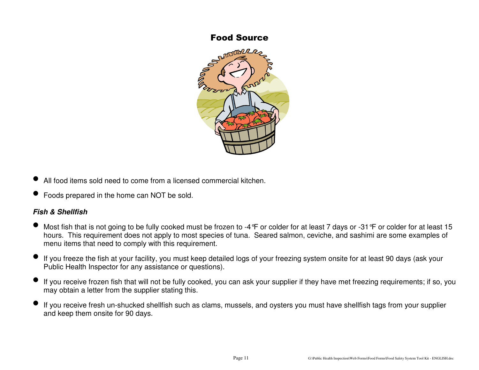#### Food Source



- •All food items sold need to come from a licensed commercial kitchen.
- •Foods prepared in the home can NOT be sold.

### **Fish & Shellfish**

- $\bullet$ Most fish that is not going to be fully cooked must be frozen to -4 °F or colder for at least 7 days or -31 °F or colder for at least 15 hours. This requirement does not apply to most species of tuna. Seared salmon, ceviche, and sashimi are some examples of menu items that need to comply with this requirement.
- $\bullet$  If you freeze the fish at your facility, you must keep detailed logs of your freezing system onsite for at least 90 days (ask your Public Health Inspector for any assistance or questions).
- $\bullet$  If you receive frozen fish that will not be fully cooked, you can ask your supplier if they have met freezing requirements; if so, you may obtain a letter from the supplier stating this.
- • If you receive fresh un-shucked shellfish such as clams, mussels, and oysters you must have shellfish tags from your supplier and keep them onsite for 90 days.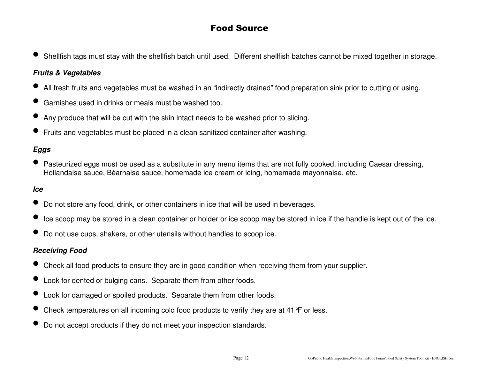# Food Source

• Shellfish tags must stay with the shellfish batch until used. Different shellfish batches cannot be mixed together in storage.

### **Fruits & Vegetables**

- •All fresh fruits and vegetables must be washed in an "indirectly drained" food preparation sink prior to cutting or using.
- •Garnishes used in drinks or meals must be washed too.
- •Any produce that will be cut with the skin intact needs to be washed prior to slicing.
- •Fruits and vegetables must be placed in a clean sanitized container after washing.

### **Eggs**

• Pasteurized eggs must be used as a substitute in any menu items that are not fully cooked, including Caesar dressing,<br>Hollandaise sauce, Béarnaise sauce, bememade ise cream er ising, bememade mayonnaise, etc. Hollandaise sauce, Béarnaise sauce, homemade ice cream or icing, homemade mayonnaise, etc.

#### **Ice**

- Do not store any food, drink, or other containers in ice that will be used in beverages.
- $\bullet$ Ice scoop may be stored in a clean container or holder or ice scoop may be stored in ice if the handle is kept out of the ice.
- •Do not use cups, shakers, or other utensils without handles to scoop ice.

#### **Receiving Food**

- Check all food products to ensure they are in good condition when receiving them from your supplier.
- •Look for dented or bulging cans. Separate them from other foods.
- $\bullet$ Look for damaged or spoiled products. Separate them from other foods.
- •Check temperatures on all incoming cold food products to verify they are at 41°F or less.
- •Do not accept products if they do not meet your inspection standards.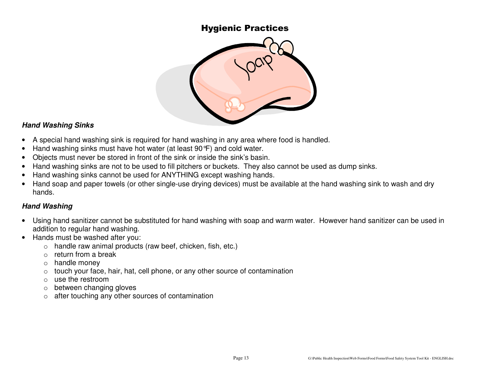### Hygienic Practices



#### **Hand Washing Sinks**

- A special hand washing sink is required for hand washing in any area where food is handled.
- Hand washing sinks must have hot water (at least 90°F) and cold water.
- Objects must never be stored in front of the sink or inside the sink's basin.
- Hand washing sinks are not to be used to fill pitchers or buckets. They also cannot be used as dump sinks.
- Hand washing sinks cannot be used for ANYTHING except washing hands.
- Hand soap and paper towels (or other single-use drying devices) must be available at the hand washing sink to wash and dry hands.

### **Hand Washing**

- Using hand sanitizer cannot be substituted for hand washing with soap and warm water. However hand sanitizer can be used in addition to regular hand washing.
- Hands must be washed after you:
	- $\circ$  handle raw animal products (raw beef, chicken, fish, etc.)
	- o return from a break
	- o handle money
	- $\circ$   $\;$  touch your face, hair, hat, cell phone, or any other source of contamination
	- o use the restroom
	- $\circ$  between changing gloves
	- $\circ$  after touching any other sources of contamination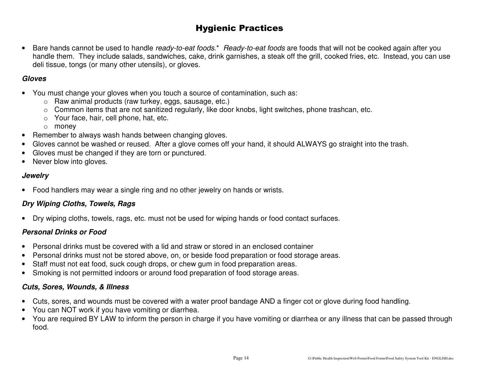# Hygienic Practices

• Bare hands cannot be used to handle ready-to-eat foods.\* Ready-to-eat foods are foods that will not be cooked again after you handle them. They include salads, sandwiches, cake, drink garnishes, a steak off the grill, cooked fries, etc. Instead, you can use deli tissue, tongs (or many other utensils), or gloves.

#### **Gloves**

- You must change your gloves when you touch a source of contamination, such as:
	- o Raw animal products (raw turkey, eggs, sausage, etc.)
	- $\circ$  Common items that are not sanitized regularly, like door knobs, light switches, phone trashcan, etc.
	- o Your face, hair, cell phone, hat, etc.
	- o money
- Remember to always wash hands between changing gloves.
- Gloves cannot be washed or reused. After a glove comes off your hand, it should ALWAYS go straight into the trash.
- Gloves must be changed if they are torn or punctured.
- Never blow into gloves.

#### **Jewelry**

• Food handlers may wear a single ring and no other jewelry on hands or wrists.

### **Dry Wiping Cloths, Towels, Rags**

• Dry wiping cloths, towels, rags, etc. must not be used for wiping hands or food contact surfaces.

### **Personal Drinks or Food**

- Personal drinks must be covered with a lid and straw or stored in an enclosed container
- Personal drinks must not be stored above, on, or beside food preparation or food storage areas.
- Staff must not eat food, suck cough drops, or chew gum in food preparation areas.
- Smoking is not permitted indoors or around food preparation of food storage areas.

#### **Cuts, Sores, Wounds, & Illness**

- Cuts, sores, and wounds must be covered with a water proof bandage AND a finger cot or glove during food handling.
- You can NOT work if you have vomiting or diarrhea.
- You are required BY LAW to inform the person in charge if you have vomiting or diarrhea or any illness that can be passed through food.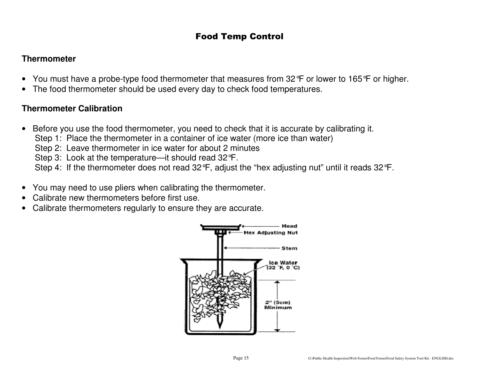### Food Temp Control

### **Thermometer**

- You must have a probe-type food thermometer that measures from 32 °F or lower to 165 °F or higher.
- The food thermometer should be used every day to check food temperatures.

### **Thermometer Calibration**

- Before you use the food thermometer, you need to check that it is accurate by calibrating it.
	- Step 1: Place the thermometer in a container of ice water (more ice than water)
	- Step 2: Leave thermometer in ice water for about 2 minutes
	- Step 3: Look at the temperature—it should read 32°F.
	- Step 4: If the thermometer does not read 32°F, adjust the "hex adjusting nut" until it reads 32°F.
- You may need to use pliers when calibrating the thermometer.
- Calibrate new thermometers before first use.
- Calibrate thermometers regularly to ensure they are accurate.

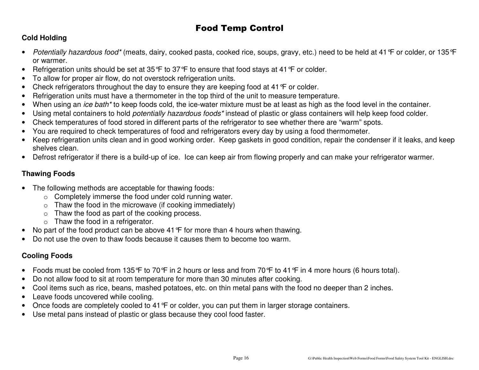# Food Temp Control

### **Cold Holding**

- $\bullet$ Potentially hazardous food\* (meats, dairy, cooked pasta, cooked rice, soups, gravy, etc.) need to be held at 41 °F or colder, or 135 °F or warmer.
- Refrigeration units should be set at 35 °F to 37 °F to ensure that food stays at 41 °F or colder.
- To allow for proper air flow, do not overstock refrigeration units.
- Check refrigerators throughout the day to ensure they are keeping food at 41 °F or colder.
- Refrigeration units must have a thermometer in the top third of the unit to measure temperature.
- When using an *ice bath\** to keep foods cold, the ice-water mixture must be at least as high as the food level in the container.
- Using metal containers to hold potentially hazardous foods\* instead of plastic or glass containers will help keep food colder.
- Check temperatures of food stored in different parts of the refrigerator to see whether there are "warm" spots.
- You are required to check temperatures of food and refrigerators every day by using a food thermometer.
- Keep refrigeration units clean and in good working order. Keep gaskets in good condition, repair the condenser if it leaks, and keep shelves clean.
- Defrost refrigerator if there is a build-up of ice. Ice can keep air from flowing properly and can make your refrigerator warmer.

### **Thawing Foods**

- The following methods are acceptable for thawing foods:
	- $\circ$  Completely immerse the food under cold running water.
	- $\circ$  Thaw the food in the microwave (if cooking immediately)
	- o Thaw the food as part of the cooking process.
	- $\circ$  Thaw the food in a refrigerator.
- No part of the food product can be above 41 °F for more than 4 hours when thawing.
- Do not use the oven to thaw foods because it causes them to become too warm.

### **Cooling Foods**

- Foods must be cooled from 135°F to 70°F in 2 hours or less and from 70°F to 41°F in 4 more hours (6 hours total).
- Do not allow food to sit at room temperature for more than 30 minutes after cooking.
- Cool items such as rice, beans, mashed potatoes, etc. on thin metal pans with the food no deeper than 2 inches.
- Leave foods uncovered while cooling.
- Once foods are completely cooled to 41 °F or colder, you can put them in larger storage containers.
- Use metal pans instead of plastic or glass because they cool food faster.